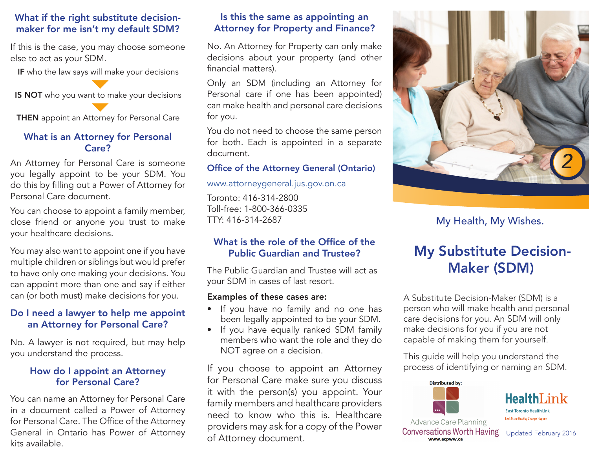### What if the right substitute decisionmaker for me isn't my default SDM?

If this is the case, you may choose someone else to act as your SDM.

IF who the law says will make your decisions

IS NOT who you want to make your decisions

**THEN** appoint an Attorney for Personal Care

### What is an Attorney for Personal Care?

An Attorney for Personal Care is someone you legally appoint to be your SDM. You do this by filling out a Power of Attorney for Personal Care document.

You can choose to appoint a family member, close friend or anyone you trust to make your healthcare decisions.

You may also want to appoint one if you have multiple children or siblings but would prefer to have only one making your decisions. You can appoint more than one and say if either can (or both must) make decisions for you.

### Do I need a lawyer to help me appoint an Attorney for Personal Care?

No. A lawyer is not required, but may help you understand the process.

### How do I appoint an Attorney for Personal Care?

You can name an Attorney for Personal Care in a document called a Power of Attorney for Personal Care. The Office of the Attorney General in Ontario has Power of Attorney kits available.

### Is this the same as appointing an Attorney for Property and Finance?

No. An Attorney for Property can only make decisions about your property (and other financial matters).

Only an SDM (including an Attorney for Personal care if one has been appointed) can make health and personal care decisions for you.

You do not need to choose the same person for both. Each is appointed in a separate document.

### Office of the Attorney General (Ontario)

www.attorneygeneral.jus.gov.on.ca

Toronto: 416-314-2800 Toll-free: 1-800-366-0335 TTY: 416-314-2687

### What is the role of the Office of the Public Guardian and Trustee?

The Public Guardian and Trustee will act as your SDM in cases of last resort.

#### Examples of these cases are:

- If you have no family and no one has been legally appointed to be your SDM.
- If you have equally ranked SDM family members who want the role and they do NOT agree on a decision.

If you choose to appoint an Attorney for Personal Care make sure you discuss it with the person(s) you appoint. Your family members and healthcare providers need to know who this is. Healthcare providers may ask for a copy of the Power of Attorney document.



My Health, My Wishes.

# My Substitute Decision-Maker (SDM)

A Substitute Decision-Maker (SDM) is a person who will make health and personal care decisions for you. An SDM will only make decisions for you if you are not capable of making them for yourself.

This guide will help you understand the process of identifying or naming an SDM.